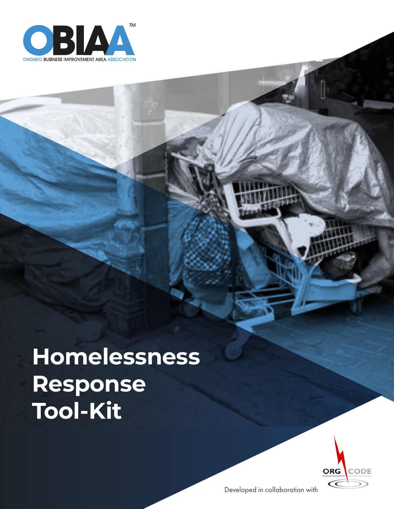

**Homelessness Response Tool-Kit**



Developed in collaboration with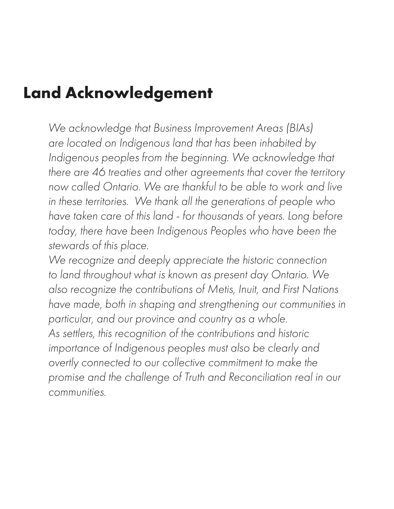## **Land Acknowledgement**

*We acknowledge that Business Improvement Areas (BIAs) are located on Indigenous land that has been inhabited by*  Indigenous peoples from the beginning. We acknowledge that *there are 46 treaties and other agreements that cover the territory now called Ontario. We are thankful to be able to work and live in these territories. We thank all the generations of people who have taken care of this land - for thousands of years. Long before today, there have been Indigenous Peoples who have been the stewards of this place.*

*We recognize and deeply appreciate the historic connection to land throughout what is known as present day Ontario. We also recognize the contributions of Metis, Inuit, and First Nations have made, both in shaping and strengthening our communities in particular, and our province and country as a whole. As settlers, this recognition of the contributions and historic importance of Indigenous peoples must also be clearly and overtly connected to our collective commitment to make the promise and the challenge of Truth and Reconciliation real in our communities.*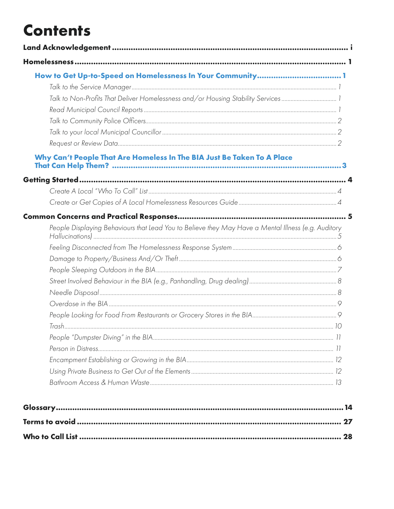# **Contents**

| How to Get Up-to-Speed on Homelessness In Your Community1                                           |  |
|-----------------------------------------------------------------------------------------------------|--|
|                                                                                                     |  |
| Talk to Non-Profits That Deliver Homelessness and/or Housing Stability Services1                    |  |
|                                                                                                     |  |
|                                                                                                     |  |
|                                                                                                     |  |
|                                                                                                     |  |
| Why Can't People That Are Homeless In The BIA Just Be Taken To A Place                              |  |
|                                                                                                     |  |
|                                                                                                     |  |
|                                                                                                     |  |
|                                                                                                     |  |
| People Displaying Behaviours that Lead You to Believe they May Have a Mental Illness (e.g. Auditory |  |
|                                                                                                     |  |
|                                                                                                     |  |
|                                                                                                     |  |
|                                                                                                     |  |
|                                                                                                     |  |
|                                                                                                     |  |
|                                                                                                     |  |
|                                                                                                     |  |
|                                                                                                     |  |
|                                                                                                     |  |
|                                                                                                     |  |
|                                                                                                     |  |
|                                                                                                     |  |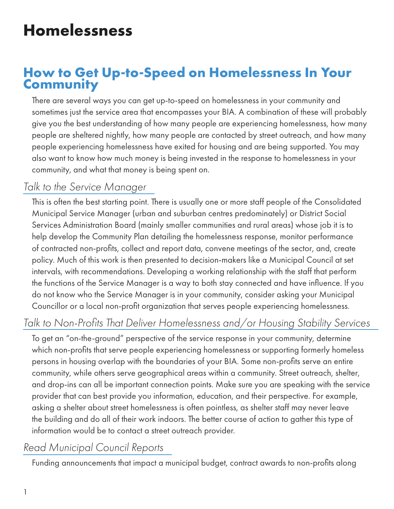# **Homelessness**

## **How to Get Up-to-Speed on Homelessness In Your Community**

There are several ways you can get up-to-speed on homelessness in your community and sometimes just the service area that encompasses your BIA. A combination of these will probably give you the best understanding of how many people are experiencing homelessness, how many people are sheltered nightly, how many people are contacted by street outreach, and how many people experiencing homelessness have exited for housing and are being supported. You may also want to know how much money is being invested in the response to homelessness in your community, and what that money is being spent on.

### *Talk to the Service Manager*

This is often the best starting point. There is usually one or more staff people of the Consolidated Municipal Service Manager (urban and suburban centres predominately) or District Social Services Administration Board (mainly smaller communities and rural areas) whose job it is to help develop the Community Plan detailing the homelessness response, monitor performance of contracted non-profits, collect and report data, convene meetings of the sector, and, create policy. Much of this work is then presented to decision-makers like a Municipal Council at set intervals, with recommendations. Developing a working relationship with the staff that perform the functions of the Service Manager is a way to both stay connected and have influence. If you do not know who the Service Manager is in your community, consider asking your Municipal Councillor or a local non-profit organization that serves people experiencing homelessness.

## *Talk to Non-Profits That Deliver Homelessness and/or Housing Stability Services*

To get an "on-the-ground" perspective of the service response in your community, determine which non-profits that serve people experiencing homelessness or supporting formerly homeless persons in housing overlap with the boundaries of your BIA. Some non-profits serve an entire community, while others serve geographical areas within a community. Street outreach, shelter, and drop-ins can all be important connection points. Make sure you are speaking with the service provider that can best provide you information, education, and their perspective. For example, asking a shelter about street homelessness is often pointless, as shelter staff may never leave the building and do all of their work indoors. The better course of action to gather this type of information would be to contact a street outreach provider.

## *Read Municipal Council Reports*

Funding announcements that impact a municipal budget, contract awards to non-profits along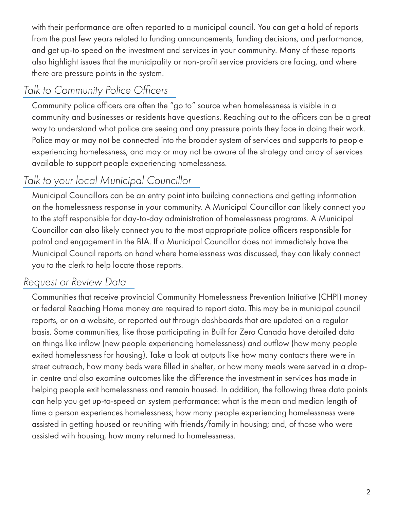with their performance are often reported to a municipal council. You can get a hold of reports from the past few years related to funding announcements, funding decisions, and performance, and get up-to speed on the investment and services in your community. Many of these reports also highlight issues that the municipality or non-profit service providers are facing, and where there are pressure points in the system.

## *Talk to Community Police Officers*

Community police officers are often the "go to" source when homelessness is visible in a community and businesses or residents have questions. Reaching out to the officers can be a great way to understand what police are seeing and any pressure points they face in doing their work. Police may or may not be connected into the broader system of services and supports to people experiencing homelessness, and may or may not be aware of the strategy and array of services available to support people experiencing homelessness.

## *Talk to your local Municipal Councillor*

Municipal Councillors can be an entry point into building connections and getting information on the homelessness response in your community. A Municipal Councillor can likely connect you to the staff responsible for day-to-day administration of homelessness programs. A Municipal Councillor can also likely connect you to the most appropriate police officers responsible for patrol and engagement in the BIA. If a Municipal Councillor does not immediately have the Municipal Council reports on hand where homelessness was discussed, they can likely connect you to the clerk to help locate those reports.

## *Request or Review Data*

Communities that receive provincial Community Homelessness Prevention Initiative (CHPI) money or federal Reaching Home money are required to report data. This may be in municipal council reports, or on a website, or reported out through dashboards that are updated on a regular basis. Some communities, like those participating in Built for Zero Canada have detailed data on things like inflow (new people experiencing homelessness) and outflow (how many people exited homelessness for housing). Take a look at outputs like how many contacts there were in street outreach, how many beds were filled in shelter, or how many meals were served in a dropin centre and also examine outcomes like the difference the investment in services has made in helping people exit homelessness and remain housed. In addition, the following three data points can help you get up-to-speed on system performance: what is the mean and median length of time a person experiences homelessness; how many people experiencing homelessness were assisted in getting housed or reuniting with friends/family in housing; and, of those who were assisted with housing, how many returned to homelessness.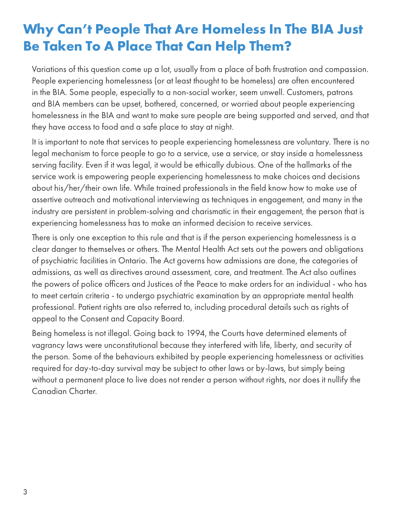## **Why Can't People That Are Homeless In The BIA Just Be Taken To A Place That Can Help Them?**

Variations of this question come up a lot, usually from a place of both frustration and compassion. People experiencing homelessness (or at least thought to be homeless) are often encountered in the BIA. Some people, especially to a non-social worker, seem unwell. Customers, patrons and BIA members can be upset, bothered, concerned, or worried about people experiencing homelessness in the BIA and want to make sure people are being supported and served, and that they have access to food and a safe place to stay at night.

It is important to note that services to people experiencing homelessness are voluntary. There is no legal mechanism to force people to go to a service, use a service, or stay inside a homelessness serving facility. Even if it was legal, it would be ethically dubious. One of the hallmarks of the service work is empowering people experiencing homelessness to make choices and decisions about his/her/their own life. While trained professionals in the field know how to make use of assertive outreach and motivational interviewing as techniques in engagement, and many in the industry are persistent in problem-solving and charismatic in their engagement, the person that is experiencing homelessness has to make an informed decision to receive services.

There is only one exception to this rule and that is if the person experiencing homelessness is a clear danger to themselves or others. The Mental Health Act sets out the powers and obligations of psychiatric facilities in Ontario. The Act governs how admissions are done, the categories of admissions, as well as directives around assessment, care, and treatment. The Act also outlines the powers of police officers and Justices of the Peace to make orders for an individual - who has to meet certain criteria - to undergo psychiatric examination by an appropriate mental health professional. Patient rights are also referred to, including procedural details such as rights of appeal to the Consent and Capacity Board.

Being homeless is not illegal. Going back to 1994, the Courts have determined elements of vagrancy laws were unconstitutional because they interfered with life, liberty, and security of the person. Some of the behaviours exhibited by people experiencing homelessness or activities required for day-to-day survival may be subject to other laws or by-laws, but simply being without a permanent place to live does not render a person without rights, nor does it nullify the Canadian Charter.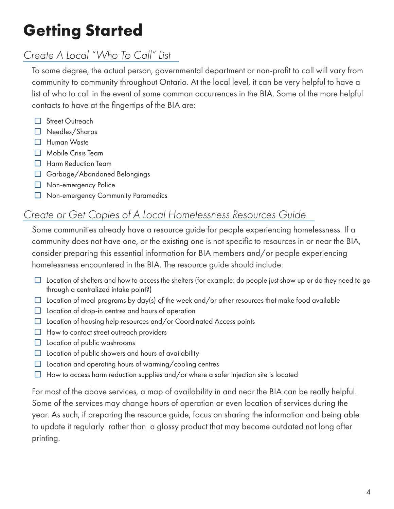# **Getting Started**

## *Create A Local "Who To Call" List*

To some degree, the actual person, governmental department or non-profit to call will vary from community to community throughout Ontario. At the local level, it can be very helpful to have a list of who to call in the event of some common occurrences in the BIA. Some of the more helpful contacts to have at the fingertips of the BIA are:

- □ Street Outreach
- $\Box$  Needles/Sharps
- $\Box$  Human Waste
- $\Box$  Mobile Crisis Team
- $\Box$  Harm Reduction Team
- $\Box$  Garbage/Abandoned Belongings
- $\Box$  Non-emergency Police
- □ Non-emergency Community Paramedics

## *Create or Get Copies of A Local Homelessness Resources Guide*

Some communities already have a resource guide for people experiencing homelessness. If a community does not have one, or the existing one is not specific to resources in or near the BIA, consider preparing this essential information for BIA members and/or people experiencing homelessness encountered in the BIA. The resource guide should include:

- $\Box$  Location of shelters and how to access the shelters (for example: do people just show up or do they need to go through a centralized intake point?)
- $\Box$  Location of meal programs by day(s) of the week and/or other resources that make food available
- $\Box$  Location of drop-in centres and hours of operation
- $\Box$  Location of housing help resources and/or Coordinated Access points
- $\Box$  How to contact street outreach providers
- $\Box$  Location of public washrooms
- $\Box$  Location of public showers and hours of availability
- $\Box$  Location and operating hours of warming/cooling centres
- $\Box$  How to access harm reduction supplies and/or where a safer injection site is located

For most of the above services, a map of availability in and near the BIA can be really helpful. Some of the services may change hours of operation or even location of services during the year. As such, if preparing the resource guide, focus on sharing the information and being able to update it regularly rather than a glossy product that may become outdated not long after printing.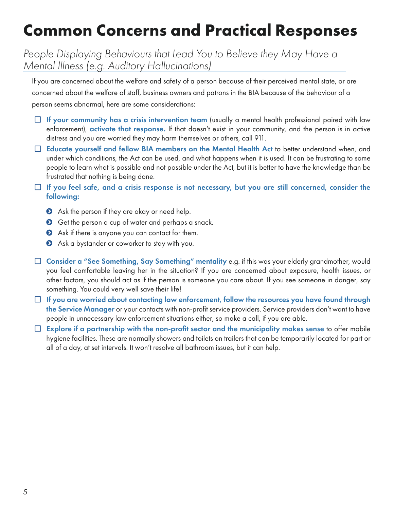# **Common Concerns and Practical Responses**

## *People Displaying Behaviours that Lead You to Believe they May Have a Mental Illness (e.g. Auditory Hallucinations)*

If you are concerned about the welfare and safety of a person because of their perceived mental state, or are concerned about the welfare of staff, business owners and patrons in the BIA because of the behaviour of a person seems abnormal, here are some considerations:

- $\Box$  If your community has a crisis intervention team (usually a mental health professional paired with law enforcement), activate that response. If that doesn't exist in your community, and the person is in active distress and you are worried they may harm themselves or others, call 911.
- $\Box$  Educate yourself and fellow BIA members on the Mental Health Act to better understand when, and under which conditions, the Act can be used, and what happens when it is used. It can be frustrating to some people to learn what is possible and not possible under the Act, but it is better to have the knowledge than be frustrated that nothing is being done.
- $\Box$  If you feel safe, and a crisis response is not necessary, but you are still concerned, consider the following:
	- **•** Ask the person if they are okay or need help.
	- **O** Get the person a cup of water and perhaps a snack.
	- Ask if there is anyone you can contact for them.
	- Ask a bystander or coworker to stay with you.
- $\Box$  Consider a "See Something, Say Something" mentality e.g. if this was your elderly grandmother, would you feel comfortable leaving her in the situation? If you are concerned about exposure, health issues, or other factors, you should act as if the person is someone you care about. If you see someone in danger, say something. You could very well save their life!
- $\Box$  If you are worried about contacting law enforcement, follow the resources you have found through the Service Manager or your contacts with non-profit service providers. Service providers don't want to have people in unnecessary law enforcement situations either, so make a call, if you are able.
- $\Box$  Explore if a partnership with the non-profit sector and the municipality makes sense to offer mobile hygiene facilities. These are normally showers and toilets on trailers that can be temporarily located for part or all of a day, at set intervals. It won't resolve all bathroom issues, but it can help.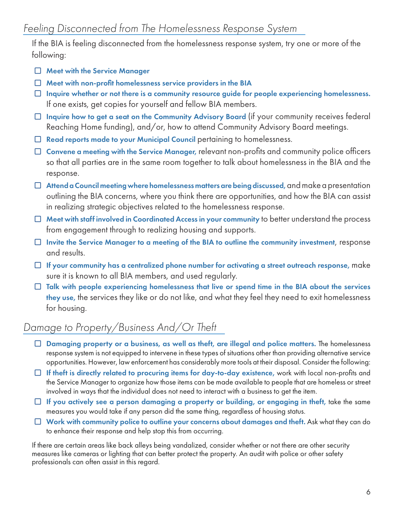If the BIA is feeling disconnected from the homelessness response system, try one or more of the following:

- $\Box$  Meet with the Service Manager
- $\Box$  Meet with non-profit homelessness service providers in the BIA
- $\Box$  Inquire whether or not there is a community resource guide for people experiencing homelessness. If one exists, get copies for yourself and fellow BIA members.
- $\Box$  Inquire how to get a seat on the Community Advisory Board (if your community receives federal Reaching Home funding), and/or, how to attend Community Advisory Board meetings.
- $\Box$  Read reports made to your Municipal Council pertaining to homelessness.
- $\Box$  Convene a meeting with the Service Manager, relevant non-profits and community police officers so that all parties are in the same room together to talk about homelessness in the BIA and the response.
- $\Box$  Attend a Council meeting where homelessness matters are being discussed, and make a presentation outlining the BIA concerns, where you think there are opportunities, and how the BIA can assist in realizing strategic objectives related to the homelessness response.
- $\Box$  Meet with staff involved in Coordinated Access in your community to better understand the process from engagement through to realizing housing and supports.
- $\Box$  Invite the Service Manager to a meeting of the BIA to outline the community investment, response and results.
- $\Box$  If your community has a centralized phone number for activating a street outreach response, make sure it is known to all BIA members, and used regularly.
- $\Box$  Talk with people experiencing homelessness that live or spend time in the BIA about the services they use, the services they like or do not like, and what they feel they need to exit homelessness for housing.

## *Damage to Property/Business And/Or Theft*

- $\Box$  Damaging property or a business, as well as theft, are illegal and police matters. The homelessness response system is not equipped to intervene in these types of situations other than providing alternative service opportunities. However, law enforcement has considerably more tools at their disposal. Consider the following:
- $\Box$  If theft is directly related to procuring items for day-to-day existence, work with local non-profits and the Service Manager to organize how those items can be made available to people that are homeless or street involved in ways that the individual does not need to interact with a business to get the item.
- $\Box$  If you actively see a person damaging a property or building, or engaging in theft, take the same measures you would take if any person did the same thing, regardless of housing status.
- $\Box$  Work with community police to outline your concerns about damages and theft. Ask what they can do to enhance their response and help stop this from occurring.

If there are certain areas like back alleys being vandalized, consider whether or not there are other security measures like cameras or lighting that can better protect the property. An audit with police or other safety professionals can often assist in this regard.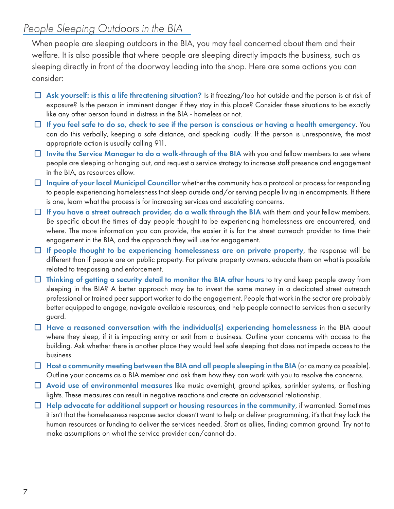## *People Sleeping Outdoors in the BIA*

When people are sleeping outdoors in the BIA, you may feel concerned about them and their welfare. It is also possible that where people are sleeping directly impacts the business, such as sleeping directly in front of the doorway leading into the shop. Here are some actions you can consider:

- $\Box$  Ask yourself: is this a life threatening situation? Is it freezing/too hot outside and the person is at risk of exposure? Is the person in imminent danger if they stay in this place? Consider these situations to be exactly like any other person found in distress in the BIA - homeless or not.
- $\Box$  If you feel safe to do so, check to see if the person is conscious or having a health emergency. You can do this verbally, keeping a safe distance, and speaking loudly. If the person is unresponsive, the most appropriate action is usually calling 911.
- $\Box$  Invite the Service Manager to do a walk-through of the BIA with you and fellow members to see where people are sleeping or hanging out, and request a service strategy to increase staff presence and engagement in the BIA, as resources allow.
- $\Box$  Inquire of your local Municipal Councillor whether the community has a protocol or process for responding to people experiencing homelessness that sleep outside and/or serving people living in encampments. If there is one, learn what the process is for increasing services and escalating concerns.
- $\Box$  If you have a street outreach provider, do a walk through the BIA with them and your fellow members. Be specific about the times of day people thought to be experiencing homelessness are encountered, and where. The more information you can provide, the easier it is for the street outreach provider to time their engagement in the BIA, and the approach they will use for engagement.
- $\Box$  If people thought to be experiencing homelessness are on private property, the response will be different than if people are on public property. For private property owners, educate them on what is possible related to trespassing and enforcement.
- $\Box$  Thinking of getting a security detail to monitor the BIA after hours to try and keep people away from sleeping in the BIA? A better approach may be to invest the same money in a dedicated street outreach professional or trained peer support worker to do the engagement. People that work in the sector are probably better equipped to engage, navigate available resources, and help people connect to services than a security guard.
- $\Box$  Have a reasoned conversation with the individual(s) experiencing homelessness in the BIA about where they sleep, if it is impacting entry or exit from a business. Outline your concerns with access to the building. Ask whether there is another place they would feel safe sleeping that does not impede access to the business.
- $\Box$  Host a community meeting between the BIA and all people sleeping in the BIA (or as many as possible). Outline your concerns as a BIA member and ask them how they can work with you to resolve the concerns.
- $\Box$  Avoid use of environmental measures like music overnight, ground spikes, sprinkler systems, or flashing lights. These measures can result in negative reactions and create an adversarial relationship.
- $\Box$  Help advocate for additional support or housing resources in the community, if warranted. Sometimes it isn't that the homelessness response sector doesn't want to help or deliver programming, it's that they lack the human resources or funding to deliver the services needed. Start as allies, finding common ground. Try not to make assumptions on what the service provider can/cannot do.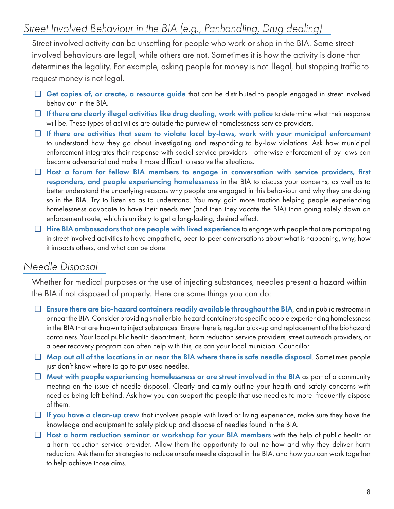## *Street Involved Behaviour in the BIA (e.g., Panhandling, Drug dealing)*

Street involved activity can be unsettling for people who work or shop in the BIA. Some street involved behaviours are legal, while others are not. Sometimes it is how the activity is done that determines the legality. For example, asking people for money is not illegal, but stopping traffic to request money is not legal.

- $\Box$  Get copies of, or create, a resource guide that can be distributed to people engaged in street involved behaviour in the BIA.
- $\Box$  If there are clearly illegal activities like drug dealing, work with police to determine what their response will be. These types of activities are outside the purview of homelessness service providers.
- $\Box$  If there are activities that seem to violate local by-laws, work with your municipal enforcement to understand how they go about investigating and responding to by-law violations. Ask how municipal enforcement integrates their response with social service providers - otherwise enforcement of by-laws can become adversarial and make it more difficult to resolve the situations.
- $\Box$  Host a forum for fellow BIA members to engage in conversation with service providers, first responders, and people experiencing homelessness in the BIA to discuss your concerns, as well as to better understand the underlying reasons why people are engaged in this behaviour and why they are doing so in the BIA. Try to listen so as to understand. You may gain more traction helping people experiencing homelessness advocate to have their needs met (and then they vacate the BIA) than going solely down an enforcement route, which is unlikely to get a long-lasting, desired effect.
- $\Box$  Hire BIA ambassadors that are people with lived experience to engage with people that are participating in street involved activities to have empathetic, peer-to-peer conversations about what is happening, why, how it impacts others, and what can be done.

## *Needle Disposal*

Whether for medical purposes or the use of injecting substances, needles present a hazard within the BIA if not disposed of properly. Here are some things you can do:

- $\Box$  Ensure there are bio-hazard containers readily available throughout the BIA, and in public restrooms in or near the BIA. Consider providing smaller bio-hazard containers to specific people experiencing homelessness in the BIA that are known to inject substances. Ensure there is regular pick-up and replacement of the biohazard containers. Your local public health department, harm reduction service providers, street outreach providers, or a peer recovery program can often help with this, as can your local municipal Councillor.
- $\Box$  Map out all of the locations in or near the BIA where there is safe needle disposal. Sometimes people just don't know where to go to put used needles.
- $\Box$  Meet with people experiencing homelessness or are street involved in the BIA as part of a community meeting on the issue of needle disposal. Clearly and calmly outline your health and safety concerns with needles being left behind. Ask how you can support the people that use needles to more frequently dispose of them.
- $\Box$  If you have a clean-up crew that involves people with lived or living experience, make sure they have the knowledge and equipment to safely pick up and dispose of needles found in the BIA.
- $\Box$  Host a harm reduction seminar or workshop for your BIA members with the help of public health or a harm reduction service provider. Allow them the opportunity to outline how and why they deliver harm reduction. Ask them for strategies to reduce unsafe needle disposal in the BIA, and how you can work together to help achieve those aims.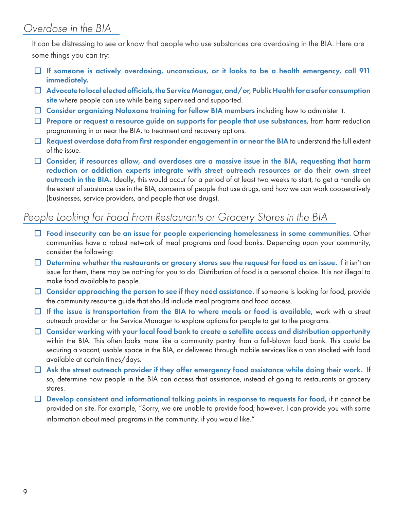## *Overdose in the BIA*

It can be distressing to see or know that people who use substances are overdosing in the BIA. Here are some things you can try:

- $\Box$  If someone is actively overdosing, unconscious, or it looks to be a health emergency, call 911 immediately.
- $\Box$  Advocate to local elected officials, the Service Manager, and/or, Public Health for a safer consumption site where people can use while being supervised and supported.
- $\Box$  Consider organizing Naloxone training for fellow BIA members including how to administer it.
- $\Box$  Prepare or request a resource guide on supports for people that use substances, from harm reduction programming in or near the BIA, to treatment and recovery options.
- $\Box$  Request overdose data from first responder engagement in or near the BIA to understand the full extent of the issue.
- □ Consider, if resources allow, and overdoses are a massive issue in the BIA, requesting that harm reduction or addiction experts integrate with street outreach resources or do their own street outreach in the BIA. Ideally, this would occur for a period of at least two weeks to start, to get a handle on the extent of substance use in the BIA, concerns of people that use drugs, and how we can work cooperatively (businesses, service providers, and people that use drugs).

## *People Looking for Food From Restaurants or Grocery Stores in the BIA*

- $\Box$  Food insecurity can be an issue for people experiencing homelessness in some communities. Other communities have a robust network of meal programs and food banks. Depending upon your community, consider the following:
- $\Box$  Determine whether the restaurants or grocery stores see the request for food as an issue. If it isn't an issue for them, there may be nothing for you to do. Distribution of food is a personal choice. It is not illegal to make food available to people.
- $\Box$  Consider approaching the person to see if they need assistance. If someone is looking for food, provide the community resource guide that should include meal programs and food access.
- $\Box$  If the issue is transportation from the BIA to where meals or food is available, work with a street outreach provider or the Service Manager to explore options for people to get to the programs.
- $\Box$  Consider working with your local food bank to create a satellite access and distribution opportunity within the BIA. This often looks more like a community pantry than a full-blown food bank. This could be securing a vacant, usable space in the BIA, or delivered through mobile services like a van stocked with food available at certain times/days.
- $\Box$  Ask the street outreach provider if they offer emergency food assistance while doing their work. If so, determine how people in the BIA can access that assistance, instead of going to restaurants or grocery stores.
- $\Box$  Develop consistent and informational talking points in response to requests for food, if it cannot be provided on site. For example, "Sorry, we are unable to provide food; however, I can provide you with some information about meal programs in the community, if you would like."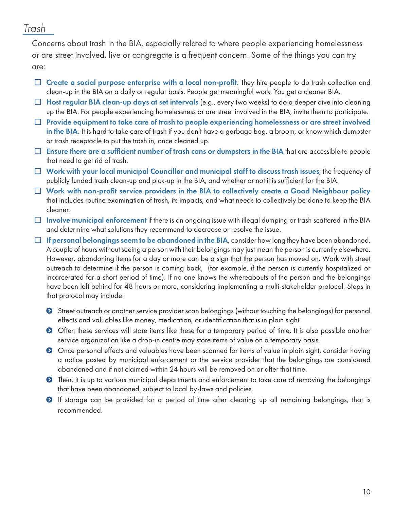### *Trash*

Concerns about trash in the BIA, especially related to where people experiencing homelessness or are street involved, live or congregate is a frequent concern. Some of the things you can try are:

- $\Box$  Create a social purpose enterprise with a local non-profit. They hire people to do trash collection and clean-up in the BIA on a daily or regular basis. People get meaningful work. You get a cleaner BIA.
- $\Box$  Host regular BIA clean-up days at set intervals (e.g., every two weeks) to do a deeper dive into cleaning up the BIA. For people experiencing homelessness or are street involved in the BIA, invite them to participate.
- $\Box$  Provide equipment to take care of trash to people experiencing homelessness or are street involved in the BIA. It is hard to take care of trash if you don't have a garbage bag, a broom, or know which dumpster or trash receptacle to put the trash in, once cleaned up.
- $\Box$  Ensure there are a sufficient number of trash cans or dumpsters in the BIA that are accessible to people that need to get rid of trash.
- $\Box$  Work with your local municipal Councillor and municipal staff to discuss trash issues, the frequency of publicly funded trash clean-up and pick-up in the BIA, and whether or not it is sufficient for the BIA.
- $\Box$  Work with non-profit service providers in the BIA to collectively create a Good Neighbour policy that includes routine examination of trash, its impacts, and what needs to collectively be done to keep the BIA cleaner.
- $\Box$  Involve municipal enforcement if there is an ongoing issue with illegal dumping or trash scattered in the BIA and determine what solutions they recommend to decrease or resolve the issue.
- $\Box$  If personal belongings seem to be abandoned in the BIA, consider how long they have been abandoned. A couple of hours without seeing a person with their belongings may just mean the person is currently elsewhere. However, abandoning items for a day or more can be a sign that the person has moved on. Work with street outreach to determine if the person is coming back, (for example, if the person is currently hospitalized or incarcerated for a short period of time). If no one knows the whereabouts of the person and the belongings have been left behind for 48 hours or more, considering implementing a multi-stakeholder protocol. Steps in that protocol may include:
	- **•** Street outreach or another service provider scan belongings (without touching the belongings) for personal effects and valuables like money, medication, or identification that is in plain sight.
	- **O** Often these services will store items like these for a temporary period of time. It is also possible another service organization like a drop-in centre may store items of value on a temporary basis.
	- **O** Once personal effects and valuables have been scanned for items of value in plain sight, consider having a notice posted by municipal enforcement or the service provider that the belongings are considered abandoned and if not claimed within 24 hours will be removed on or after that time.
	- $\bullet$  Then, it is up to various municipal departments and enforcement to take care of removing the belongings that have been abandoned, subject to local by-laws and policies.
	- **O** If storage can be provided for a period of time after cleaning up all remaining belongings, that is recommended.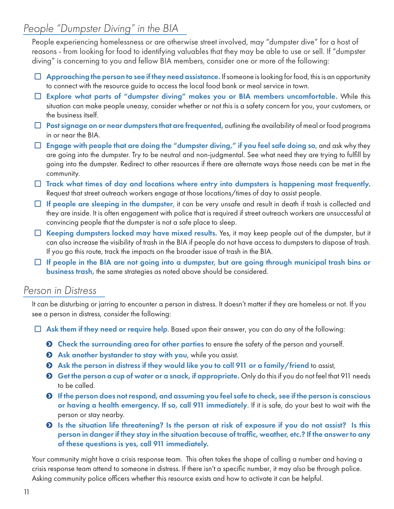## *People "Dumpster Diving" in the BIA*

People experiencing homelessness or are otherwise street involved, may "dumpster dive" for a host of reasons - from looking for food to identifying valuables that they may be able to use or sell. If "dumpster diving" is concerning to you and fellow BIA members, consider one or more of the following:

- $\Box$  Approaching the person to see if they need assistance. If someone is looking for food, this is an opportunity to connect with the resource guide to access the local food bank or meal service in town.
- $\Box$  Explore what parts of "dumpster diving" makes you or BIA members uncomfortable. While this situation can make people uneasy, consider whether or not this is a safety concern for you, your customers, or the business itself.
- $\Box$  Post signage on or near dumpsters that are frequented, outlining the availability of meal or food programs in or near the BIA.
- $\Box$  Engage with people that are doing the "dumpster diving," if you feel safe doing so, and ask why they are going into the dumpster. Try to be neutral and non-judgmental. See what need they are trying to fulfill by going into the dumpster. Redirect to other resources if there are alternate ways those needs can be met in the community.
- $\Box$  Track what times of day and locations where entry into dumpsters is happening most frequently. Request that street outreach workers engage at those locations/times of day to assist people.
- $\Box$  If people are sleeping in the dumpster, it can be very unsafe and result in death if trash is collected and they are inside. It is often engagement with police that is required if street outreach workers are unsuccessful at convincing people that the dumpster is not a safe place to sleep.
- □ Keeping dumpsters locked may have mixed results. Yes, it may keep people out of the dumpster, but it can also increase the visibility of trash in the BIA if people do not have access to dumpsters to dispose of trash. If you go this route, track the impacts on the broader issue of trash in the BIA.
- $\Box$  If people in the BIA are not going into a dumpster, but are going through municipal trash bins or business trash, the same strategies as noted above should be considered.

### *Person in Distress*

It can be disturbing or jarring to encounter a person in distress. It doesn't matter if they are homeless or not. If you see a person in distress, consider the following:

- $\Box$  Ask them if they need or require help. Based upon their answer, you can do any of the following:
	- $\odot$  Check the surrounding area for other parties to ensure the safety of the person and yourself.
	- $\odot$  Ask another bystander to stay with you, while you assist.
	- **O** Ask the person in distress if they would like you to call 911 or a family/friend to assist,
	- $\bullet$  Get the person a cup of water or a snack, if appropriate. Only do this if you do not feel that 911 needs to be called.
	- ĥ If the person does not respond, and assuming you feel safe to check, see if the person is conscious or having a health emergency. If so, call 911 immediately. If it is safe, do your best to wait with the person or stay nearby.
	- ĥ Is the situation life threatening? Is the person at risk of exposure if you do not assist? Is this person in danger if they stay in the situation because of traffic, weather, etc.? If the answer to any of these questions is yes, call 911 immediately.

Your community might have a crisis response team. This often takes the shape of calling a number and having a crisis response team attend to someone in distress. If there isn't a specific number, it may also be through police. Asking community police officers whether this resource exists and how to activate it can be helpful.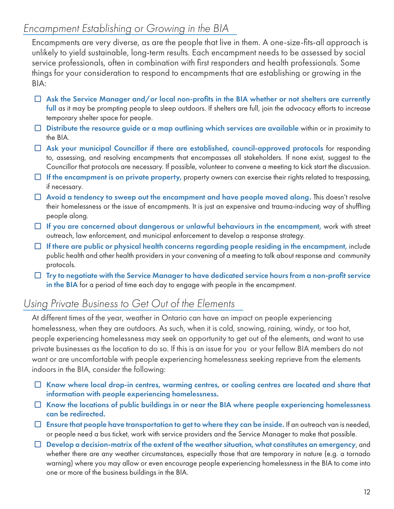## *Encampment Establishing or Growing in the BIA*

Encampments are very diverse, as are the people that live in them. A one-size-fits-all approach is unlikely to yield sustainable, long-term results. Each encampment needs to be assessed by social service professionals, often in combination with first responders and health professionals. Some things for your consideration to respond to encampments that are establishing or growing in the BIA:

- $\Box$  Ask the Service Manager and/or local non-profits in the BIA whether or not shelters are currently full as it may be prompting people to sleep outdoors. If shelters are full, join the advocacy efforts to increase temporary shelter space for people.
- $\Box$  Distribute the resource guide or a map outlining which services are available within or in proximity to the BIA.
- □ Ask your municipal Councillor if there are established, council-approved protocols for responding to, assessing, and resolving encampments that encompasses all stakeholders. If none exist, suggest to the Councillor that protocols are necessary. If possible, volunteer to convene a meeting to kick start the discussion.
- $\Box$  If the encampment is on private property, property owners can exercise their rights related to trespassing, if necessary.
- $\Box$  Avoid a tendency to sweep out the encampment and have people moved along. This doesn't resolve their homelessness or the issue of encampments. It is just an expensive and trauma-inducing way of shuffling people along.
- $\Box$  If you are concerned about dangerous or unlawful behaviours in the encampment, work with street outreach, law enforcement, and municipal enforcement to develop a response strategy.
- $\Box$  If there are public or physical health concerns regarding people residing in the encampment, include public health and other health providers in your convening of a meeting to talk about response and community protocols.
- $\Box$  Try to negotiate with the Service Manager to have dedicated service hours from a non-profit service in the BIA for a period of time each day to engage with people in the encampment.

## *Using Private Business to Get Out of the Elements*

At different times of the year, weather in Ontario can have an impact on people experiencing homelessness, when they are outdoors. As such, when it is cold, snowing, raining, windy, or too hot, people experiencing homelessness may seek an opportunity to get out of the elements, and want to use private businesses as the location to do so. If this is an issue for you or your fellow BIA members do not want or are uncomfortable with people experiencing homelessness seeking reprieve from the elements indoors in the BIA, consider the following:

- $\Box$  Know where local drop-in centres, warming centres, or cooling centres are located and share that information with people experiencing homelessness.
- $\Box$  Know the locations of public buildings in or near the BIA where people experiencing homelessness can be redirected.
- $\Box$  Ensure that people have transportation to get to where they can be inside. If an outreach van is needed, or people need a bus ticket, work with service providers and the Service Manager to make that possible.
- $\Box$  Develop a decision-matrix of the extent of the weather situation, what constitutes an emergency, and whether there are any weather circumstances, especially those that are temporary in nature (e.g. a tornado warning) where you may allow or even encourage people experiencing homelessness in the BIA to come into one or more of the business buildings in the BIA.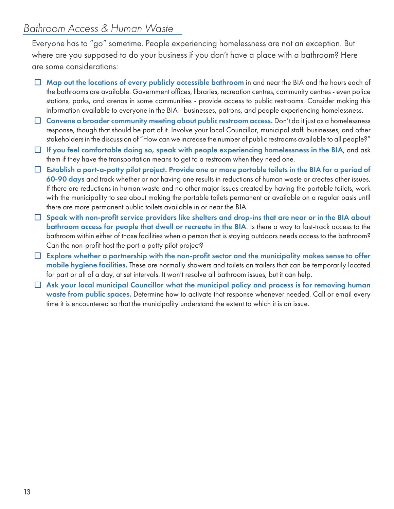## *Bathroom Access & Human Waste*

Everyone has to "go" sometime. People experiencing homelessness are not an exception. But where are you supposed to do your business if you don't have a place with a bathroom? Here are some considerations:

- $\Box$  Map out the locations of every publicly accessible bathroom in and near the BIA and the hours each of the bathrooms are available. Government offices, libraries, recreation centres, community centres - even police stations, parks, and arenas in some communities - provide access to public restrooms. Consider making this information available to everyone in the BIA - businesses, patrons, and people experiencing homelessness.
- $\Box$  Convene a broader community meeting about public restroom access. Don't do it just as a homelessness response, though that should be part of it. Involve your local Councillor, municipal staff, businesses, and other stakeholders in the discussion of "How can we increase the number of public restrooms available to all people?"
- $\Box$  If you feel comfortable doing so, speak with people experiencing homelessness in the BIA, and ask them if they have the transportation means to get to a restroom when they need one.
- $\Box$  Establish a port-a-potty pilot project. Provide one or more portable toilets in the BIA for a period of 60-90 days and track whether or not having one results in reductions of human waste or creates other issues. If there are reductions in human waste and no other major issues created by having the portable toilets, work with the municipality to see about making the portable toilets permanent or available on a regular basis until there are more permanent public toilets available in or near the BIA.
- $\Box$  Speak with non-profit service providers like shelters and drop-ins that are near or in the BIA about bathroom access for people that dwell or recreate in the BIA. Is there a way to fast-track access to the bathroom within either of those facilities when a person that is staying outdoors needs access to the bathroom? Can the non-profit host the port-a potty pilot project?
- $\Box$  Explore whether a partnership with the non-profit sector and the municipality makes sense to offer mobile hygiene facilities. These are normally showers and toilets on trailers that can be temporarily located for part or all of a day, at set intervals. It won't resolve all bathroom issues, but it can help.
- $\Box$  Ask your local municipal Councillor what the municipal policy and process is for removing human waste from public spaces. Determine how to activate that response whenever needed. Call or email every time it is encountered so that the municipality understand the extent to which it is an issue.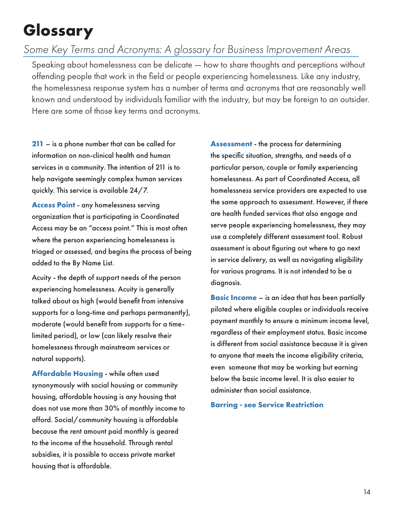# **Glossary**

## *Some Key Terms and Acronyms: A glossary for Business Improvement Areas*

Speaking about homelessness can be delicate — how to share thoughts and perceptions without offending people that work in the field or people experiencing homelessness. Like any industry, the homelessness response system has a number of terms and acronyms that are reasonably well known and understood by individuals familiar with the industry, but may be foreign to an outsider. Here are some of those key terms and acronyms.

**211** – is a phone number that can be called for information on non-clinical health and human services in a community. The intention of 211 is to help navigate seemingly complex human services quickly. This service is available 24/7.

**Access Point** - any homelessness serving organization that is participating in Coordinated Access may be an "access point." This is most often where the person experiencing homelessness is triaged or assessed, and begins the process of being added to the By Name List.

Acuity - the depth of support needs of the person experiencing homelessness. Acuity is generally talked about as high (would benefit from intensive supports for a long-time and perhaps permanently), moderate (would benefit from supports for a timelimited period), or low (can likely resolve their homelessness through mainstream services or natural supports).

**Affordable Housing** - while often used synonymously with social housing or community housing, affordable housing is any housing that does not use more than 30% of monthly income to afford. Social/community housing is affordable because the rent amount paid monthly is geared to the income of the household. Through rental subsidies, it is possible to access private market housing that is affordable.

**Assessment** - the process for determining the specific situation, strengths, and needs of a particular person, couple or family experiencing homelessness. As part of Coordinated Access, all homelessness service providers are expected to use the same approach to assessment. However, if there are health funded services that also engage and serve people experiencing homelessness, they may use a completely different assessment tool. Robust assessment is about figuring out where to go next in service delivery, as well as navigating eligibility for various programs. It is not intended to be a diagnosis.

**Basic Income** – is an idea that has been partially piloted where eligible couples or individuals receive payment monthly to ensure a minimum income level, regardless of their employment status. Basic income is different from social assistance because it is given to anyone that meets the income eligibility criteria, even someone that may be working but earning below the basic income level. It is also easier to administer than social assistance.

**Barring - see Service Restriction**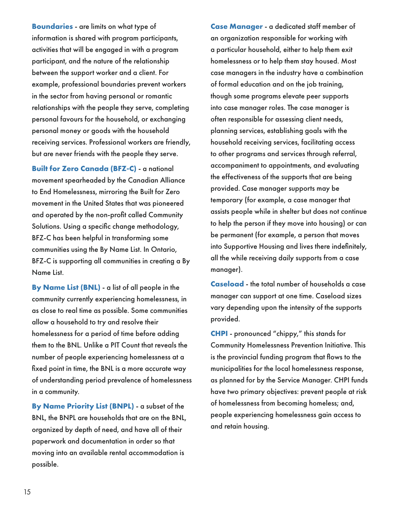**Boundaries** - are limits on what type of information is shared with program participants, activities that will be engaged in with a program participant, and the nature of the relationship between the support worker and a client. For example, professional boundaries prevent workers in the sector from having personal or romantic relationships with the people they serve, completing personal favours for the household, or exchanging personal money or goods with the household receiving services. Professional workers are friendly, but are never friends with the people they serve.

**Built for Zero Canada (BFZ-C)** - a national movement spearheaded by the Canadian Alliance to End Homelessness, mirroring the Built for Zero movement in the United States that was pioneered and operated by the non-profit called Community Solutions. Using a specific change methodology, BFZ-C has been helpful in transforming some communities using the By Name List. In Ontario, BFZ-C is supporting all communities in creating a By Name List.

**By Name List (BNL)** - a list of all people in the community currently experiencing homelessness, in as close to real time as possible. Some communities allow a household to try and resolve their homelessness for a period of time before adding them to the BNL. Unlike a PIT Count that reveals the number of people experiencing homelessness at a fixed point in time, the BNL is a more accurate way of understanding period prevalence of homelessness in a community.

**By Name Priority List (BNPL)** - a subset of the BNL, the BNPL are households that are on the BNL, organized by depth of need, and have all of their paperwork and documentation in order so that moving into an available rental accommodation is possible.

**Case Manager** - a dedicated staff member of an organization responsible for working with a particular household, either to help them exit homelessness or to help them stay housed. Most case managers in the industry have a combination of formal education and on the job training, though some programs elevate peer supports into case manager roles. The case manager is often responsible for assessing client needs, planning services, establishing goals with the household receiving services, facilitating access to other programs and services through referral, accompaniment to appointments, and evaluating the effectiveness of the supports that are being provided. Case manager supports may be temporary (for example, a case manager that assists people while in shelter but does not continue to help the person if they move into housing) or can be permanent (for example, a person that moves into Supportive Housing and lives there indefinitely, all the while receiving daily supports from a case manager).

**Caseload** - the total number of households a case manager can support at one time. Caseload sizes vary depending upon the intensity of the supports provided.

**CHPI** - pronounced "chippy," this stands for Community Homelessness Prevention Initiative. This is the provincial funding program that flows to the municipalities for the local homelessness response, as planned for by the Service Manager. CHPI funds have two primary objectives: prevent people at risk of homelessness from becoming homeless; and, people experiencing homelessness gain access to and retain housing.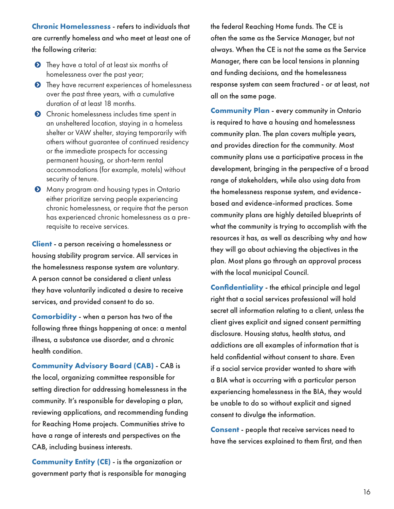**Chronic Homelessness** - refers to individuals that are currently homeless and who meet at least one of the following criteria:

- **O** They have a total of at least six months of homelessness over the past year;
- $\bullet$  They have recurrent experiences of homelessness over the past three years, with a cumulative duration of at least 18 months.
- **O** Chronic homelessness includes time spent in an unsheltered location, staying in a homeless shelter or VAW shelter, staying temporarily with others without guarantee of continued residency or the immediate prospects for accessing permanent housing, or short-term rental accommodations (for example, motels) without security of tenure.
- $\bullet$  Many program and housing types in Ontario either prioritize serving people experiencing chronic homelessness, or require that the person has experienced chronic homelessness as a prerequisite to receive services.

**Client** - a person receiving a homelessness or housing stability program service. All services in the homelessness response system are voluntary. A person cannot be considered a client unless they have voluntarily indicated a desire to receive services, and provided consent to do so.

**Comorbidity** - when a person has two of the following three things happening at once: a mental illness, a substance use disorder, and a chronic health condition.

**Community Advisory Board (CAB)** - CAB is the local, organizing committee responsible for setting direction for addressing homelessness in the community. It's responsible for developing a plan, reviewing applications, and recommending funding for Reaching Home projects. Communities strive to have a range of interests and perspectives on the CAB, including business interests.

**Community Entity (CE)** - is the organization or government party that is responsible for managing the federal Reaching Home funds. The CE is often the same as the Service Manager, but not always. When the CE is not the same as the Service Manager, there can be local tensions in planning and funding decisions, and the homelessness response system can seem fractured - or at least, not all on the same page.

**Community Plan** - every community in Ontario is required to have a housing and homelessness community plan. The plan covers multiple years, and provides direction for the community. Most community plans use a participative process in the development, bringing in the perspective of a broad range of stakeholders, while also using data from the homelessness response system, and evidencebased and evidence-informed practices. Some community plans are highly detailed blueprints of what the community is trying to accomplish with the resources it has, as well as describing why and how they will go about achieving the objectives in the plan. Most plans go through an approval process with the local municipal Council.

**Confidentiality** - the ethical principle and legal right that a social services professional will hold secret all information relating to a client, unless the client gives explicit and signed consent permitting disclosure. Housing status, health status, and addictions are all examples of information that is held confidential without consent to share. Even if a social service provider wanted to share with a BIA what is occurring with a particular person experiencing homelessness in the BIA, they would be unable to do so without explicit and signed consent to divulge the information.

**Consent** - people that receive services need to have the services explained to them first, and then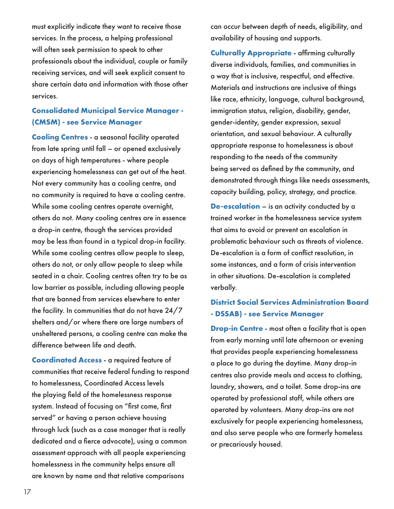must explicitly indicate they want to receive those services. In the process, a helping professional will often seek permission to speak to other professionals about the individual, couple or family receiving services, and will seek explicit consent to share certain data and information with those other services.

#### **Consolidated Municipal Service Manager - (CMSM) - see Service Manager**

**Cooling Centres** - a seasonal facility operated from late spring until fall – or opened exclusively on days of high temperatures - where people experiencing homelessness can get out of the heat. Not every community has a cooling centre, and no community is required to have a cooling centre. While some cooling centres operate overnight, others do not. Many cooling centres are in essence a drop-in centre, though the services provided may be less than found in a typical drop-in facility. While some cooling centres allow people to sleep, others do not, or only allow people to sleep while seated in a chair. Cooling centres often try to be as low barrier as possible, including allowing people that are banned from services elsewhere to enter the facility. In communities that do not have 24/7 shelters and/or where there are large numbers of unsheltered persons, a cooling centre can make the difference between life and death.

**Coordinated Access** - a required feature of communities that receive federal funding to respond to homelessness, Coordinated Access levels the playing field of the homelessness response system. Instead of focusing on "first come, first served" or having a person achieve housing through luck (such as a case manager that is really dedicated and a fierce advocate), using a common assessment approach with all people experiencing homelessness in the community helps ensure all are known by name and that relative comparisons

can occur between depth of needs, eligibility, and availability of housing and supports.

**Culturally Appropriate** - affirming culturally diverse individuals, families, and communities in a way that is inclusive, respectful, and effective. Materials and instructions are inclusive of things like race, ethnicity, language, cultural background, immigration status, religion, disability, gender, gender-identity, gender expression, sexual orientation, and sexual behaviour. A culturally appropriate response to homelessness is about responding to the needs of the community being served as defined by the community, and demonstrated through things like needs assessments, capacity building, policy, strategy, and practice.

**De-escalation** – is an activity conducted by a trained worker in the homelessness service system that aims to avoid or prevent an escalation in problematic behaviour such as threats of violence. De-escalation is a form of conflict resolution, in some instances, and a form of crisis intervention in other situations. De-escalation is completed verbally.

### **District Social Services Administration Board - DSSAB) - see Service Manager**

**Drop-in Centre** - most often a facility that is open from early morning until late afternoon or evening that provides people experiencing homelessness a place to go during the daytime. Many drop-in centres also provide meals and access to clothing, laundry, showers, and a toilet. Some drop-ins are operated by professional staff, while others are operated by volunteers. Many drop-ins are not exclusively for people experiencing homelessness, and also serve people who are formerly homeless or precariously housed.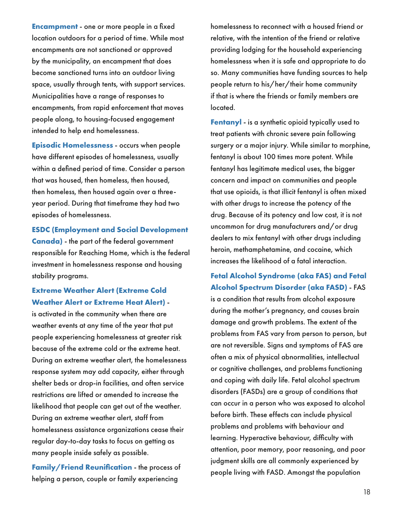**Encampment** - one or more people in a fixed location outdoors for a period of time. While most encampments are not sanctioned or approved by the municipality, an encampment that does become sanctioned turns into an outdoor living space, usually through tents, with support services. Municipalities have a range of responses to encampments, from rapid enforcement that moves people along, to housing-focused engagement intended to help end homelessness.

**Episodic Homelessness** - occurs when people have different episodes of homelessness, usually within a defined period of time. Consider a person that was housed, then homeless, then housed, then homeless, then housed again over a threeyear period. During that timeframe they had two episodes of homelessness.

**ESDC (Employment and Social Development** 

**Canada)** - the part of the federal government responsible for Reaching Home, which is the federal investment in homelessness response and housing stability programs.

#### **Extreme Weather Alert (Extreme Cold Weather Alert or Extreme Heat Alert)** -

is activated in the community when there are weather events at any time of the year that put people experiencing homelessness at greater risk because of the extreme cold or the extreme heat. During an extreme weather alert, the homelessness response system may add capacity, either through shelter beds or drop-in facilities, and often service restrictions are lifted or amended to increase the likelihood that people can get out of the weather. During an extreme weather alert, staff from homelessness assistance organizations cease their regular day-to-day tasks to focus on getting as many people inside safely as possible.

**Family/Friend Reunification** - the process of helping a person, couple or family experiencing

homelessness to reconnect with a housed friend or relative, with the intention of the friend or relative providing lodging for the household experiencing homelessness when it is safe and appropriate to do so. Many communities have funding sources to help people return to his/her/their home community if that is where the friends or family members are located.

**Fentanyl** - is a synthetic opioid typically used to treat patients with chronic severe pain following surgery or a major injury. While similar to morphine, fentanyl is about 100 times more potent. While fentanyl has legitimate medical uses, the bigger concern and impact on communities and people that use opioids, is that illicit fentanyl is often mixed with other drugs to increase the potency of the drug. Because of its potency and low cost, it is not uncommon for drug manufacturers and/or drug dealers to mix fentanyl with other drugs including heroin, methamphetamine, and cocaine, which increases the likelihood of a fatal interaction.

### **Fetal Alcohol Syndrome (aka FAS) and Fetal Alcohol Spectrum Disorder (aka FASD)** - FAS

is a condition that results from alcohol exposure during the mother's pregnancy, and causes brain damage and growth problems. The extent of the problems from FAS vary from person to person, but are not reversible. Signs and symptoms of FAS are often a mix of physical abnormalities, intellectual or cognitive challenges, and problems functioning and coping with daily life. Fetal alcohol spectrum disorders (FASDs) are a group of conditions that can occur in a person who was exposed to alcohol before birth. These effects can include physical problems and problems with behaviour and learning. Hyperactive behaviour, difficulty with attention, poor memory, poor reasoning, and poor judgment skills are all commonly experienced by people living with FASD. Amongst the population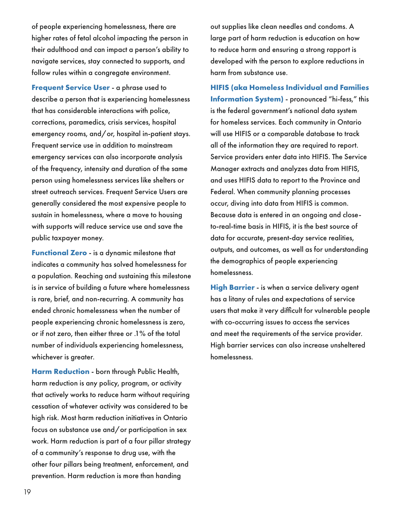of people experiencing homelessness, there are higher rates of fetal alcohol impacting the person in their adulthood and can impact a person's ability to navigate services, stay connected to supports, and follow rules within a congregate environment.

**Frequent Service User** - a phrase used to describe a person that is experiencing homelessness that has considerable interactions with police, corrections, paramedics, crisis services, hospital emergency rooms, and/or, hospital in-patient stays. Frequent service use in addition to mainstream emergency services can also incorporate analysis of the frequency, intensity and duration of the same person using homelessness services like shelters or street outreach services. Frequent Service Users are generally considered the most expensive people to sustain in homelessness, where a move to housing with supports will reduce service use and save the public taxpayer money.

**Functional Zero** - is a dynamic milestone that indicates a community has solved homelessness for a population. Reaching and sustaining this milestone is in service of building a future where homelessness is rare, brief, and non-recurring. A community has ended chronic homelessness when the number of people experiencing chronic homelessness is zero, or if not zero, then either three or .1% of the total number of individuals experiencing homelessness, whichever is greater.

**Harm Reduction** - born through Public Health, harm reduction is any policy, program, or activity that actively works to reduce harm without requiring cessation of whatever activity was considered to be high risk. Most harm reduction initiatives in Ontario focus on substance use and/or participation in sex work. Harm reduction is part of a four pillar strategy of a community's response to drug use, with the other four pillars being treatment, enforcement, and prevention. Harm reduction is more than handing

out supplies like clean needles and condoms. A large part of harm reduction is education on how to reduce harm and ensuring a strong rapport is developed with the person to explore reductions in harm from substance use.

**HIFIS (aka Homeless Individual and Families Information System)** - pronounced "hi-fess," this is the federal government's national data system for homeless services. Each community in Ontario will use HIFIS or a comparable database to track all of the information they are required to report. Service providers enter data into HIFIS. The Service Manager extracts and analyzes data from HIFIS, and uses HIFIS data to report to the Province and Federal. When community planning processes occur, diving into data from HIFIS is common. Because data is entered in an ongoing and closeto-real-time basis in HIFIS, it is the best source of data for accurate, present-day service realities, outputs, and outcomes, as well as for understanding the demographics of people experiencing homelessness.

**High Barrier** - is when a service delivery agent has a litany of rules and expectations of service users that make it very difficult for vulnerable people with co-occurring issues to access the services and meet the requirements of the service provider. High barrier services can also increase unsheltered homelessness.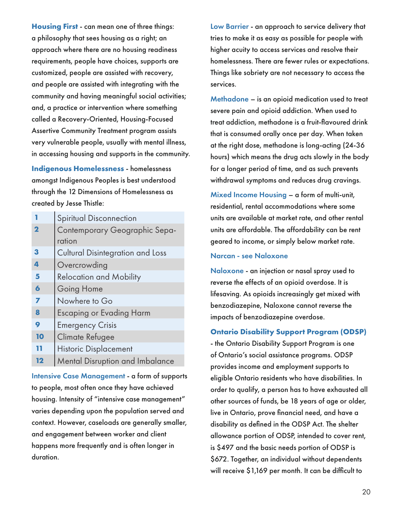**Housing First** - can mean one of three things: a philosophy that sees housing as a right; an approach where there are no housing readiness requirements, people have choices, supports are customized, people are assisted with recovery, and people are assisted with integrating with the community and having meaningful social activities; and, a practice or intervention where something called a Recovery-Oriented, Housing-Focused Assertive Community Treatment program assists very vulnerable people, usually with mental illness, in accessing housing and supports in the community.

**Indigenous Homelessness** - homelessness amongst Indigenous Peoples is best understood through the 12 Dimensions of Homelessness as created by Jesse Thistle:

|                     | <b>Spiritual Disconnection</b>          |  |  |
|---------------------|-----------------------------------------|--|--|
| 2                   | Contemporary Geographic Sepa-           |  |  |
|                     | ration                                  |  |  |
| 3                   | <b>Cultural Disintegration and Loss</b> |  |  |
| 4                   | Overcrowding                            |  |  |
| 5                   | <b>Relocation and Mobility</b>          |  |  |
| $\ddot{\mathbf{6}}$ | Going Home                              |  |  |
| 7                   | Nowhere to Go                           |  |  |
| 8                   | <b>Escaping or Evading Harm</b>         |  |  |
| 9                   | <b>Emergency Crisis</b>                 |  |  |
| 10                  | Climate Refugee                         |  |  |
| 11                  | <b>Historic Displacement</b>            |  |  |
| 12                  | <b>Mental Disruption and Imbalance</b>  |  |  |

Intensive Case Management - a form of supports to people, most often once they have achieved housing. Intensity of "intensive case management" varies depending upon the population served and context. However, caseloads are generally smaller, and engagement between worker and client happens more frequently and is often longer in duration.

Low Barrier - an approach to service delivery that tries to make it as easy as possible for people with higher acuity to access services and resolve their homelessness. There are fewer rules or expectations. Things like sobriety are not necessary to access the services.

Methadone – is an opioid medication used to treat severe pain and opioid addiction. When used to treat addiction, methadone is a fruit-flavoured drink that is consumed orally once per day. When taken at the right dose, methadone is long-acting (24-36 hours) which means the drug acts slowly in the body for a longer period of time, and as such prevents withdrawal symptoms and reduces drug cravings.

Mixed Income Housing – a form of multi-unit, residential, rental accommodations where some units are available at market rate, and other rental units are affordable. The affordability can be rent geared to income, or simply below market rate.

#### Narcan - see Naloxone

Naloxone - an injection or nasal spray used to reverse the effects of an opioid overdose. It is lifesaving. As opioids increasingly get mixed with benzodiazepine, Naloxone cannot reverse the impacts of benzodiazepine overdose.

#### **Ontario Disability Support Program (ODSP)**

- the Ontario Disability Support Program is one of Ontario's social assistance programs. ODSP provides income and employment supports to eligible Ontario residents who have disabilities. In order to qualify, a person has to have exhausted all other sources of funds, be 18 years of age or older, live in Ontario, prove financial need, and have a disability as defined in the ODSP Act. The shelter allowance portion of ODSP, intended to cover rent, is \$497 and the basic needs portion of ODSP is \$672. Together, an individual without dependents will receive \$1,169 per month. It can be difficult to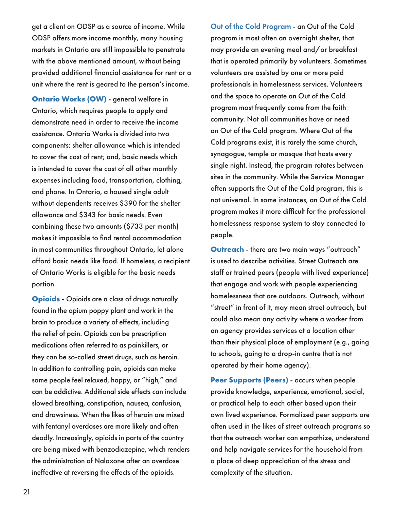get a client on ODSP as a source of income. While ODSP offers more income monthly, many housing markets in Ontario are still impossible to penetrate with the above mentioned amount, without being provided additional financial assistance for rent or a unit where the rent is geared to the person's income.

**Ontario Works (OW)** - general welfare in Ontario, which requires people to apply and demonstrate need in order to receive the income assistance. Ontario Works is divided into two components: shelter allowance which is intended to cover the cost of rent; and, basic needs which is intended to cover the cost of all other monthly expenses including food, transportation, clothing, and phone. In Ontario, a housed single adult without dependents receives \$390 for the shelter allowance and \$343 for basic needs. Even combining these two amounts (\$733 per month) makes it impossible to find rental accommodation in most communities throughout Ontario, let alone afford basic needs like food. If homeless, a recipient of Ontario Works is eligible for the basic needs portion.

**Opioids** - Opioids are a class of drugs naturally found in the opium poppy plant and work in the brain to produce a variety of effects, including the relief of pain. Opioids can be prescription medications often referred to as painkillers, or they can be so-called street drugs, such as heroin. In addition to controlling pain, opioids can make some people feel relaxed, happy, or "high," and can be addictive. Additional side effects can include slowed breathing, constipation, nausea, confusion, and drowsiness. When the likes of heroin are mixed with fentanyl overdoses are more likely and often deadly. Increasingly, opioids in parts of the country are being mixed with benzodiazepine, which renders the administration of Nalaxone after an overdose ineffective at reversing the effects of the opioids.

Out of the Cold Program - an Out of the Cold program is most often an overnight shelter, that may provide an evening meal and/or breakfast that is operated primarily by volunteers. Sometimes volunteers are assisted by one or more paid professionals in homelessness services. Volunteers and the space to operate an Out of the Cold program most frequently come from the faith community. Not all communities have or need an Out of the Cold program. Where Out of the Cold programs exist, it is rarely the same church, synagogue, temple or mosque that hosts every single night. Instead, the program rotates between sites in the community. While the Service Manager often supports the Out of the Cold program, this is not universal. In some instances, an Out of the Cold program makes it more difficult for the professional homelessness response system to stay connected to people.

**Outreach** - there are two main ways "outreach" is used to describe activities. Street Outreach are staff or trained peers (people with lived experience) that engage and work with people experiencing homelessness that are outdoors. Outreach, without "street" in front of it, may mean street outreach, but could also mean any activity where a worker from an agency provides services at a location other than their physical place of employment (e.g., going to schools, going to a drop-in centre that is not operated by their home agency).

**Peer Supports (Peers)** - occurs when people provide knowledge, experience, emotional, social, or practical help to each other based upon their own lived experience. Formalized peer supports are often used in the likes of street outreach programs so that the outreach worker can empathize, understand and help navigate services for the household from a place of deep appreciation of the stress and complexity of the situation.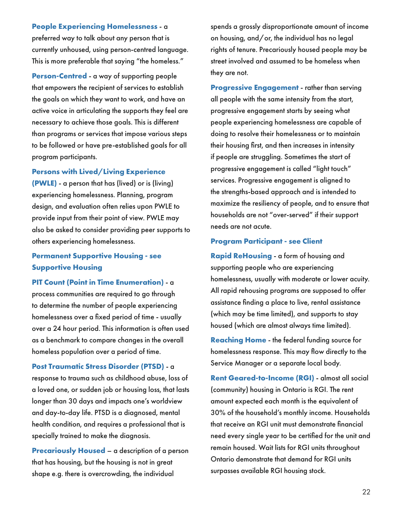**People Experiencing Homelessness** - a preferred way to talk about any person that is currently unhoused, using person-centred language. This is more preferable that saying "the homeless."

**Person-Centred** - a way of supporting people that empowers the recipient of services to establish the goals on which they want to work, and have an active voice in articulating the supports they feel are necessary to achieve those goals. This is different than programs or services that impose various steps to be followed or have pre-established goals for all program participants.

#### **Persons with Lived/Living Experience**

**(PWLE)** - a person that has (lived) or is (living) experiencing homelessness. Planning, program design, and evaluation often relies upon PWLE to provide input from their point of view. PWLE may also be asked to consider providing peer supports to others experiencing homelessness.

### **Permanent Supportive Housing - see Supportive Housing**

**PIT Count (Point in Time Enumeration)** - a process communities are required to go through to determine the number of people experiencing homelessness over a fixed period of time - usually over a 24 hour period. This information is often used as a benchmark to compare changes in the overall homeless population over a period of time.

**Post Traumatic Stress Disorder (PTSD)** - a response to trauma such as childhood abuse, loss of a loved one, or sudden job or housing loss, that lasts longer than 30 days and impacts one's worldview and day-to-day life. PTSD is a diagnosed, mental health condition, and requires a professional that is specially trained to make the diagnosis.

**Precariously Housed** – a description of a person that has housing, but the housing is not in great shape e.g. there is overcrowding, the individual

spends a grossly disproportionate amount of income on housing, and/or, the individual has no legal rights of tenure. Precariously housed people may be street involved and assumed to be homeless when they are not.

**Progressive Engagement** - rather than serving all people with the same intensity from the start, progressive engagement starts by seeing what people experiencing homelessness are capable of doing to resolve their homelessness or to maintain their housing first, and then increases in intensity if people are struggling. Sometimes the start of progressive engagement is called "light touch" services. Progressive engagement is aligned to the strengths-based approach and is intended to maximize the resiliency of people, and to ensure that households are not "over-served" if their support needs are not acute.

#### **Program Participant - see Client**

**Rapid ReHousing** - a form of housing and supporting people who are experiencing homelessness, usually with moderate or lower acuity. All rapid rehousing programs are supposed to offer assistance finding a place to live, rental assistance (which may be time limited), and supports to stay housed (which are almost always time limited).

**Reaching Home** - the federal funding source for homelessness response. This may flow directly to the Service Manager or a separate local body.

**Rent Geared-to-Income (RGI)** - almost all social (community) housing in Ontario is RGI. The rent amount expected each month is the equivalent of 30% of the household's monthly income. Households that receive an RGI unit must demonstrate financial need every single year to be certified for the unit and remain housed. Wait lists for RGI units throughout Ontario demonstrate that demand for RGI units surpasses available RGI housing stock.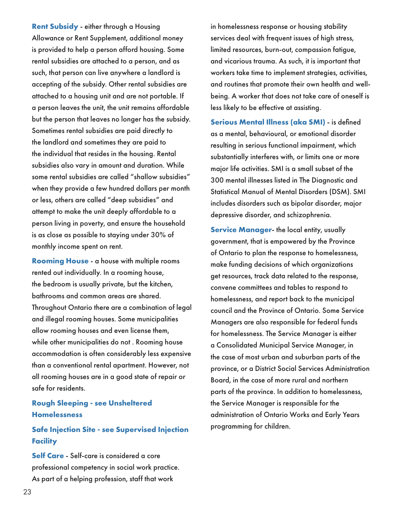**Rent Subsidy** - either through a Housing Allowance or Rent Supplement, additional money is provided to help a person afford housing. Some rental subsidies are attached to a person, and as such, that person can live anywhere a landlord is accepting of the subsidy. Other rental subsidies are attached to a housing unit and are not portable. If a person leaves the unit, the unit remains affordable but the person that leaves no longer has the subsidy. Sometimes rental subsidies are paid directly to the landlord and sometimes they are paid to the individual that resides in the housing. Rental subsidies also vary in amount and duration. While some rental subsidies are called "shallow subsidies" when they provide a few hundred dollars per month or less, others are called "deep subsidies" and attempt to make the unit deeply affordable to a person living in poverty, and ensure the household is as close as possible to staying under 30% of monthly income spent on rent.

**Rooming House** - a house with multiple rooms rented out individually. In a rooming house, the bedroom is usually private, but the kitchen, bathrooms and common areas are shared. Throughout Ontario there are a combination of legal and illegal rooming houses. Some municipalities allow rooming houses and even license them, while other municipalities do not . Rooming house accommodation is often considerably less expensive than a conventional rental apartment. However, not all rooming houses are in a good state of repair or safe for residents.

#### **Rough Sleeping - see Unsheltered Homelessness**

### **Safe Injection Site - see Supervised Injection Facility**

**Self Care** - Self-care is considered a core professional competency in social work practice. As part of a helping profession, staff that work

in homelessness response or housing stability services deal with frequent issues of high stress, limited resources, burn-out, compassion fatigue, and vicarious trauma. As such, it is important that workers take time to implement strategies, activities, and routines that promote their own health and wellbeing. A worker that does not take care of oneself is less likely to be effective at assisting.

**Serious Mental Illness (aka SMI)** - is defined as a mental, behavioural, or emotional disorder resulting in serious functional impairment, which substantially interferes with, or limits one or more major life activities. SMI is a small subset of the 300 mental illnesses listed in The Diagnostic and Statistical Manual of Mental Disorders (DSM). SMI includes disorders such as bipolar disorder, major depressive disorder, and schizophrenia.

**Service Manager-** the local entity, usually government, that is empowered by the Province of Ontario to plan the response to homelessness, make funding decisions of which organizations get resources, track data related to the response, convene committees and tables to respond to homelessness, and report back to the municipal council and the Province of Ontario. Some Service Managers are also responsible for federal funds for homelessness. The Service Manager is either a Consolidated Municipal Service Manager, in the case of most urban and suburban parts of the province, or a District Social Services Administration Board, in the case of more rural and northern parts of the province. In addition to homelessness, the Service Manager is responsible for the administration of Ontario Works and Early Years programming for children.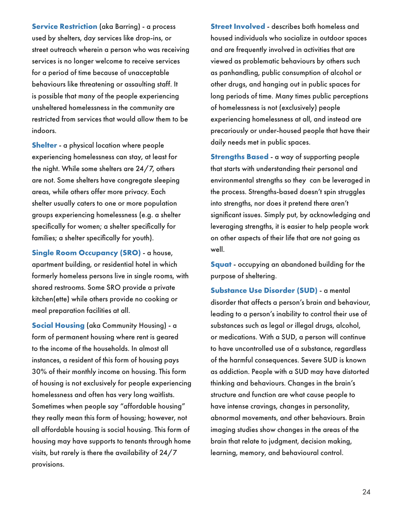**Service Restriction** (aka Barring) - a process used by shelters, day services like drop-ins, or street outreach wherein a person who was receiving services is no longer welcome to receive services for a period of time because of unacceptable behaviours like threatening or assaulting staff. It is possible that many of the people experiencing unsheltered homelessness in the community are restricted from services that would allow them to be indoors.

**Shelter** - a physical location where people experiencing homelessness can stay, at least for the night. While some shelters are 24/7, others are not. Some shelters have congregate sleeping areas, while others offer more privacy. Each shelter usually caters to one or more population groups experiencing homelessness (e.g. a shelter specifically for women; a shelter specifically for families; a shelter specifically for youth).

**Single Room Occupancy (SRO)** - a house, apartment building, or residential hotel in which formerly homeless persons live in single rooms, with shared restrooms. Some SRO provide a private kitchen(ette) while others provide no cooking or meal preparation facilities at all.

**Social Housing** (aka Community Housing) - a form of permanent housing where rent is geared to the income of the households. In almost all instances, a resident of this form of housing pays 30% of their monthly income on housing. This form of housing is not exclusively for people experiencing homelessness and often has very long waitlists. Sometimes when people say "affordable housing" they really mean this form of housing; however, not all affordable housing is social housing. This form of housing may have supports to tenants through home visits, but rarely is there the availability of 24/7 provisions.

**Street Involved** - describes both homeless and housed individuals who socialize in outdoor spaces and are frequently involved in activities that are viewed as problematic behaviours by others such as panhandling, public consumption of alcohol or other drugs, and hanging out in public spaces for long periods of time. Many times public perceptions of homelessness is not (exclusively) people experiencing homelessness at all, and instead are precariously or under-housed people that have their daily needs met in public spaces.

**Strengths Based** - a way of supporting people that starts with understanding their personal and environmental strengths so they can be leveraged in the process. Strengths-based doesn't spin struggles into strengths, nor does it pretend there aren't significant issues. Simply put, by acknowledging and leveraging strengths, it is easier to help people work on other aspects of their life that are not going as well.

**Squat** - occupying an abandoned building for the purpose of sheltering.

**Substance Use Disorder (SUD)** - a mental disorder that affects a person's brain and behaviour, leading to a person's inability to control their use of substances such as legal or illegal drugs, alcohol, or medications. With a SUD, a person will continue to have uncontrolled use of a substance, regardless of the harmful consequences. Severe SUD is known as addiction. People with a SUD may have distorted thinking and behaviours. Changes in the brain's structure and function are what cause people to have intense cravings, changes in personality, abnormal movements, and other behaviours. Brain imaging studies show changes in the areas of the brain that relate to judgment, decision making, learning, memory, and behavioural control.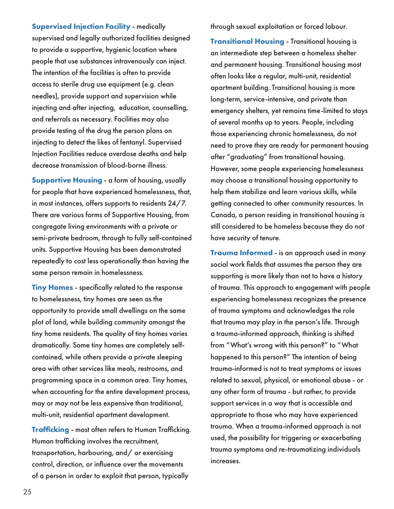**Supervised Injection Facility** - medically supervised and legally authorized facilities designed to provide a supportive, hygienic location where people that use substances intravenously can inject. The intention of the facilities is often to provide access to sterile drug use equipment (e.g. clean needles), provide support and supervision while injecting and after injecting, education, counselling, and referrals as necessary. Facilities may also provide testing of the drug the person plans on injecting to detect the likes of fentanyl. Supervised Injection Facilities reduce overdose deaths and help decrease transmission of blood-borne illness.

**Supportive Housing** - a form of housing, usually for people that have experienced homelessness, that, in most instances, offers supports to residents 24/7. There are various forms of Supportive Housing, from congregate living environments with a private or semi-private bedroom, through to fully self-contained units. Supportive Housing has been demonstrated repeatedly to cost less operationally than having the same person remain in homelessness.

**Tiny Homes** - specifically related to the response to homelessness, tiny homes are seen as the opportunity to provide small dwellings on the same plot of land, while building community amongst the tiny home residents. The quality of tiny homes varies dramatically. Some tiny homes are completely selfcontained, while others provide a private sleeping area with other services like meals, restrooms, and programming space in a common area. Tiny homes, when accounting for the entire development process, may or may not be less expensive than traditional, multi-unit, residential apartment development.

**Trafficking** - most often refers to Human Trafficking. Human trafficking involves the recruitment, transportation, harbouring, and/ or exercising control, direction, or influence over the movements of a person in order to exploit that person, typically

through sexual exploitation or forced labour.

**Transitional Housing** - Transitional housing is an intermediate step between a homeless shelter and permanent housing. Transitional housing most often looks like a regular, multi-unit, residential apartment building. Transitional housing is more long-term, service-intensive, and private than emergency shelters, yet remains time-limited to stays of several months up to years. People, including those experiencing chronic homelessness, do not need to prove they are ready for permanent housing after "graduating" from transitional housing. However, some people experiencing homelessness may choose a transitional housing opportunity to help them stabilize and learn various skills, while getting connected to other community resources. In Canada, a person residing in transitional housing is still considered to be homeless because they do not have security of tenure.

**Trauma Informed** - is an approach used in many social work fields that assumes the person they are supporting is more likely than not to have a history of trauma. This approach to engagement with people experiencing homelessness recognizes the presence of trauma symptoms and acknowledges the role that trauma may play in the person's life. Through a trauma-informed approach, thinking is shifted from "What's wrong with this person?" to "What happened to this person?" The intention of being trauma-informed is not to treat symptoms or issues related to sexual, physical, or emotional abuse - or any other form of trauma - but rather, to provide support services in a way that is accessible and appropriate to those who may have experienced trauma. When a trauma-informed approach is not used, the possibility for triggering or exacerbating trauma symptoms and re-traumatizing individuals increases.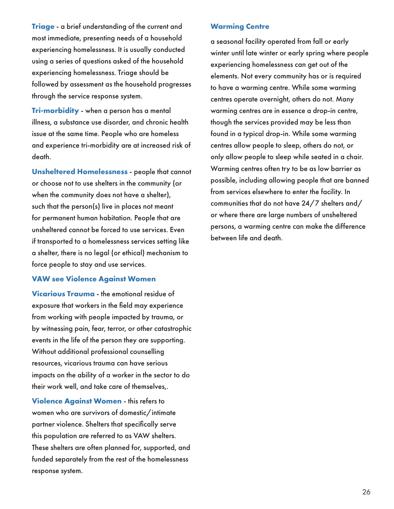**Triage** - a brief understanding of the current and most immediate, presenting needs of a household experiencing homelessness. It is usually conducted using a series of questions asked of the household experiencing homelessness. Triage should be followed by assessment as the household progresses through the service response system.

**Tri-morbidity** - when a person has a mental illness, a substance use disorder, and chronic health issue at the same time. People who are homeless and experience tri-morbidity are at increased risk of death.

**Unsheltered Homelessness** - people that cannot or choose not to use shelters in the community (or when the community does not have a shelter), such that the person(s) live in places not meant for permanent human habitation. People that are unsheltered cannot be forced to use services. Even if transported to a homelessness services setting like a shelter, there is no legal (or ethical) mechanism to force people to stay and use services.

#### **VAW see Violence Against Women**

**Vicarious Trauma** - the emotional residue of exposure that workers in the field may experience from working with people impacted by trauma, or by witnessing pain, fear, terror, or other catastrophic events in the life of the person they are supporting. Without additional professional counselling resources, vicarious trauma can have serious impacts on the ability of a worker in the sector to do their work well, and take care of themselves,.

**Violence Against Women** - this refers to women who are survivors of domestic/intimate partner violence. Shelters that specifically serve this population are referred to as VAW shelters. These shelters are often planned for, supported, and funded separately from the rest of the homelessness response system.

#### **Warming Centre**

a seasonal facility operated from fall or early winter until late winter or early spring where people experiencing homelessness can get out of the elements. Not every community has or is required to have a warming centre. While some warming centres operate overnight, others do not. Many warming centres are in essence a drop-in centre, though the services provided may be less than found in a typical drop-in. While some warming centres allow people to sleep, others do not, or only allow people to sleep while seated in a chair. Warming centres often try to be as low barrier as possible, including allowing people that are banned from services elsewhere to enter the facility. In communities that do not have 24/7 shelters and/ or where there are large numbers of unsheltered persons, a warming centre can make the difference between life and death.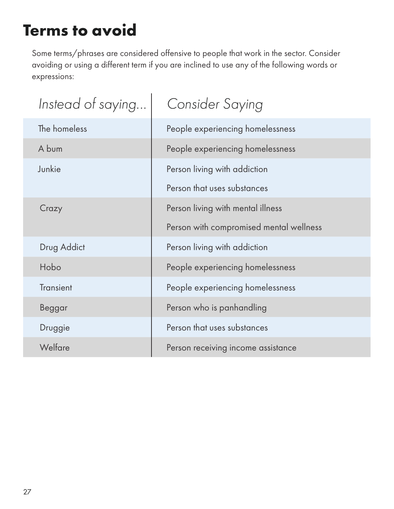# **Terms to avoid**

Some terms/phrases are considered offensive to people that work in the sector. Consider avoiding or using a different term if you are inclined to use any of the following words or expressions:

| Instead of saying | <b>Consider Saying</b>                  |  |  |
|-------------------|-----------------------------------------|--|--|
| The homeless      | People experiencing homelessness        |  |  |
| A bum             | People experiencing homelessness        |  |  |
| Junkie            | Person living with addiction            |  |  |
|                   | Person that uses substances             |  |  |
| Crazy             | Person living with mental illness       |  |  |
|                   | Person with compromised mental wellness |  |  |
| Drug Addict       | Person living with addiction            |  |  |
| Hobo              | People experiencing homelessness        |  |  |
| <b>Transient</b>  | People experiencing homelessness        |  |  |
| <b>Beggar</b>     | Person who is panhandling               |  |  |
| Druggie           | Person that uses substances             |  |  |
| Welfare           | Person receiving income assistance      |  |  |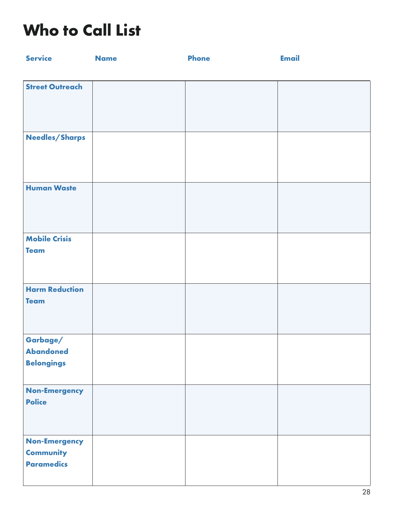# **Who to Call List**

| <b>Service</b>                                                | <b>Name</b> | <b>Phone</b> | <b>Email</b> |
|---------------------------------------------------------------|-------------|--------------|--------------|
|                                                               |             |              |              |
| <b>Street Outreach</b>                                        |             |              |              |
| Needles/Sharps                                                |             |              |              |
| <b>Human Waste</b>                                            |             |              |              |
| <b>Mobile Crisis</b><br><b>Team</b>                           |             |              |              |
| <b>Harm Reduction</b><br><b>Team</b>                          |             |              |              |
| Garbage/<br><b>Abandoned</b><br><b>Belongings</b>             |             |              |              |
| <b>Non-Emergency</b><br><b>Police</b>                         |             |              |              |
| <b>Non-Emergency</b><br><b>Community</b><br><b>Paramedics</b> |             |              |              |